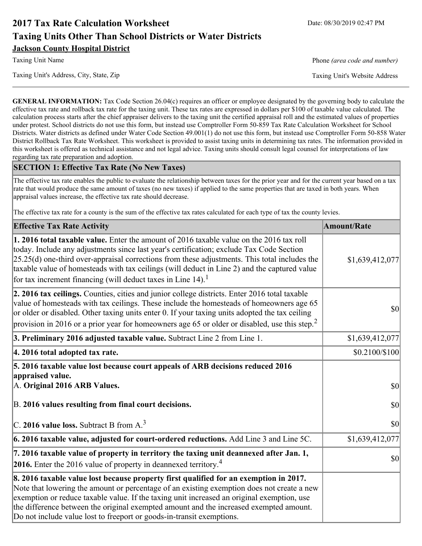# **2017 Tax Rate Calculation Worksheet** Date: 08/30/2019 02:47 PM **Taxing Units Other Than School Districts or Water Districts Jackson County Hospital District**

Taxing Unit Name **Phone** *(area code and number)* Phone *(area code and number)* 

Taxing Unit's Address, City, State, Zip Taxing Unit's Website Address

**GENERAL INFORMATION:** Tax Code Section 26.04(c) requires an officer or employee designated by the governing body to calculate the effective tax rate and rollback tax rate for the taxing unit. These tax rates are expressed in dollars per \$100 of taxable value calculated. The calculation process starts after the chief appraiser delivers to the taxing unit the certified appraisal roll and the estimated values of properties under protest. School districts do not use this form, but instead use Comptroller Form 50-859 Tax Rate Calculation Worksheet for School Districts. Water districts as defined under Water Code Section 49.001(1) do not use this form, but instead use Comptroller Form 50-858 Water District Rollback Tax Rate Worksheet. This worksheet is provided to assist taxing units in determining tax rates. The information provided in this worksheet is offered as technical assistance and not legal advice. Taxing units should consult legal counsel for interpretations of law regarding tax rate preparation and adoption.

## **SECTION 1: Effective Tax Rate (No New Taxes)**

The effective tax rate enables the public to evaluate the relationship between taxes for the prior year and for the current year based on a tax rate that would produce the same amount of taxes (no new taxes) if applied to the same properties that are taxed in both years. When appraisal values increase, the effective tax rate should decrease.

The effective tax rate for a county is the sum of the effective tax rates calculated for each type of tax the county levies.

| <b>Effective Tax Rate Activity</b>                                                                                                                                                                                                                                                                                                                                                                                                                      | <b>Amount/Rate</b> |
|---------------------------------------------------------------------------------------------------------------------------------------------------------------------------------------------------------------------------------------------------------------------------------------------------------------------------------------------------------------------------------------------------------------------------------------------------------|--------------------|
| 1. 2016 total taxable value. Enter the amount of 2016 taxable value on the 2016 tax roll<br>today. Include any adjustments since last year's certification; exclude Tax Code Section<br>$[25.25(d)$ one-third over-appraisal corrections from these adjustments. This total includes the<br>taxable value of homesteads with tax ceilings (will deduct in Line 2) and the captured value<br>for tax increment financing (will deduct taxes in Line 14). | \$1,639,412,077    |
| 2. 2016 tax ceilings. Counties, cities and junior college districts. Enter 2016 total taxable<br>value of homesteads with tax ceilings. These include the homesteads of homeowners age 65<br>or older or disabled. Other taxing units enter 0. If your taxing units adopted the tax ceiling<br>provision in 2016 or a prior year for homeowners age 65 or older or disabled, use this step. <sup>2</sup>                                                | 30                 |
| 3. Preliminary 2016 adjusted taxable value. Subtract Line 2 from Line 1.                                                                                                                                                                                                                                                                                                                                                                                | \$1,639,412,077    |
| 4. 2016 total adopted tax rate.                                                                                                                                                                                                                                                                                                                                                                                                                         | \$0.2100/\$100     |
| 5. 2016 taxable value lost because court appeals of ARB decisions reduced 2016<br>appraised value.<br>A. Original 2016 ARB Values.                                                                                                                                                                                                                                                                                                                      | $ 10\rangle$       |
| B. 2016 values resulting from final court decisions.                                                                                                                                                                                                                                                                                                                                                                                                    | \$0                |
| C. 2016 value loss. Subtract B from $A3$                                                                                                                                                                                                                                                                                                                                                                                                                | $ 10\rangle$       |
| 6. 2016 taxable value, adjusted for court-ordered reductions. Add Line 3 and Line 5C.                                                                                                                                                                                                                                                                                                                                                                   | \$1,639,412,077    |
| 7. 2016 taxable value of property in territory the taxing unit deannexed after Jan. 1,<br><b>2016.</b> Enter the 2016 value of property in deannexed territory. <sup>4</sup>                                                                                                                                                                                                                                                                            | $ 10\rangle$       |
| 8. 2016 taxable value lost because property first qualified for an exemption in 2017.<br>Note that lowering the amount or percentage of an existing exemption does not create a new<br>exemption or reduce taxable value. If the taxing unit increased an original exemption, use<br>the difference between the original exempted amount and the increased exempted amount.<br>Do not include value lost to freeport or goods-in-transit exemptions.    |                    |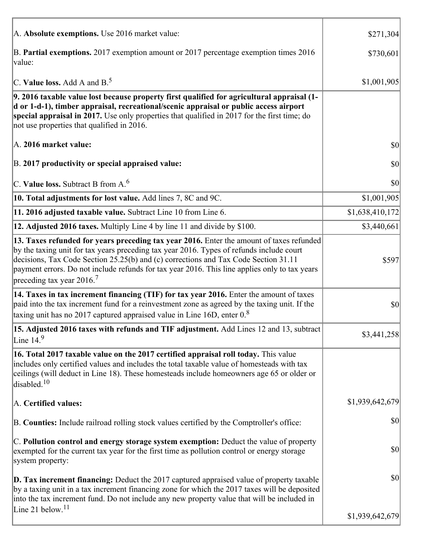| A. Absolute exemptions. Use 2016 market value:                                                                                                                                                                                                                                                                                                                                                                         | \$271,304       |
|------------------------------------------------------------------------------------------------------------------------------------------------------------------------------------------------------------------------------------------------------------------------------------------------------------------------------------------------------------------------------------------------------------------------|-----------------|
| B. Partial exemptions. 2017 exemption amount or 2017 percentage exemption times 2016<br>value:                                                                                                                                                                                                                                                                                                                         | \$730,601       |
| C. Value loss. Add A and $B^5$ .                                                                                                                                                                                                                                                                                                                                                                                       | \$1,001,905     |
| 9. 2016 taxable value lost because property first qualified for agricultural appraisal (1-<br>d or 1-d-1), timber appraisal, recreational/scenic appraisal or public access airport<br>special appraisal in 2017. Use only properties that qualified in 2017 for the first time; do<br>not use properties that qualified in 2016.                                                                                      |                 |
| A. 2016 market value:                                                                                                                                                                                                                                                                                                                                                                                                  | $ 10\rangle$    |
| B. 2017 productivity or special appraised value:                                                                                                                                                                                                                                                                                                                                                                       | \$0             |
| C. Value loss. Subtract B from $A6$                                                                                                                                                                                                                                                                                                                                                                                    | \$0             |
| 10. Total adjustments for lost value. Add lines 7, 8C and 9C.                                                                                                                                                                                                                                                                                                                                                          | \$1,001,905     |
| 11. 2016 adjusted taxable value. Subtract Line 10 from Line 6.                                                                                                                                                                                                                                                                                                                                                         | \$1,638,410,172 |
| 12. Adjusted 2016 taxes. Multiply Line 4 by line 11 and divide by \$100.                                                                                                                                                                                                                                                                                                                                               | \$3,440,661     |
| 13. Taxes refunded for years preceding tax year 2016. Enter the amount of taxes refunded<br>by the taxing unit for tax years preceding tax year 2016. Types of refunds include court<br>decisions, Tax Code Section 25.25(b) and (c) corrections and Tax Code Section 31.11<br>payment errors. Do not include refunds for tax year 2016. This line applies only to tax years<br>preceding tax year $2016$ <sup>7</sup> | \$597           |
| 14. Taxes in tax increment financing (TIF) for tax year 2016. Enter the amount of taxes<br>paid into the tax increment fund for a reinvestment zone as agreed by the taxing unit. If the<br>taxing unit has no 2017 captured appraised value in Line 16D, enter $0.8$                                                                                                                                                  | \$0             |
| 15. Adjusted 2016 taxes with refunds and TIF adjustment. Add Lines 12 and 13, subtract<br>Line $149$                                                                                                                                                                                                                                                                                                                   | \$3,441,258     |
| 16. Total 2017 taxable value on the 2017 certified appraisal roll today. This value<br>includes only certified values and includes the total taxable value of homesteads with tax<br>ceilings (will deduct in Line 18). These homesteads include homeowners age 65 or older or<br>disabled. $10$                                                                                                                       |                 |
| A. Certified values:                                                                                                                                                                                                                                                                                                                                                                                                   | \$1,939,642,679 |
| B. Counties: Include railroad rolling stock values certified by the Comptroller's office:                                                                                                                                                                                                                                                                                                                              | \$0             |
| C. Pollution control and energy storage system exemption: Deduct the value of property<br>exempted for the current tax year for the first time as pollution control or energy storage<br>system property:                                                                                                                                                                                                              | \$0             |
| <b>D. Tax increment financing:</b> Deduct the 2017 captured appraised value of property taxable<br>by a taxing unit in a tax increment financing zone for which the 2017 taxes will be deposited<br>into the tax increment fund. Do not include any new property value that will be included in                                                                                                                        | \$0             |
| Line 21 below. <sup>11</sup>                                                                                                                                                                                                                                                                                                                                                                                           | \$1,939,642,679 |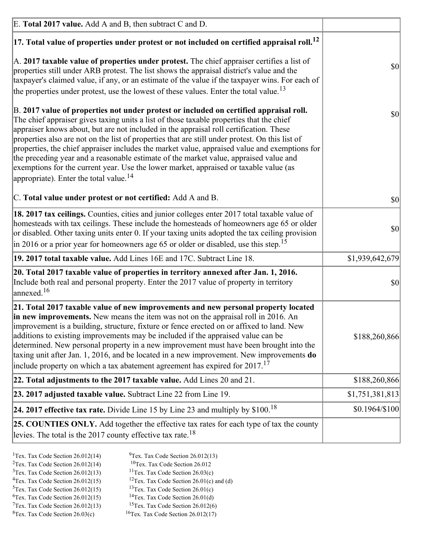| E. Total 2017 value. Add A and B, then subtract C and D.                                                                                                                                                                                                                                                                                                                                                                                                                                                                                                                                                                                                                                                                 |                 |
|--------------------------------------------------------------------------------------------------------------------------------------------------------------------------------------------------------------------------------------------------------------------------------------------------------------------------------------------------------------------------------------------------------------------------------------------------------------------------------------------------------------------------------------------------------------------------------------------------------------------------------------------------------------------------------------------------------------------------|-----------------|
| $ 17$ . Total value of properties under protest or not included on certified appraisal roll. <sup>12</sup>                                                                                                                                                                                                                                                                                                                                                                                                                                                                                                                                                                                                               |                 |
| $\vert$ A. 2017 taxable value of properties under protest. The chief appraiser certifies a list of<br>properties still under ARB protest. The list shows the appraisal district's value and the<br>taxpayer's claimed value, if any, or an estimate of the value if the taxpayer wins. For each of<br>the properties under protest, use the lowest of these values. Enter the total value. <sup>13</sup>                                                                                                                                                                                                                                                                                                                 | \$0             |
| B. 2017 value of properties not under protest or included on certified appraisal roll.<br>The chief appraiser gives taxing units a list of those taxable properties that the chief<br>appraiser knows about, but are not included in the appraisal roll certification. These<br>properties also are not on the list of properties that are still under protest. On this list of<br>properties, the chief appraiser includes the market value, appraised value and exemptions for<br>the preceding year and a reasonable estimate of the market value, appraised value and<br>exemptions for the current year. Use the lower market, appraised or taxable value (as<br>appropriate). Enter the total value. <sup>14</sup> | <b>\$0</b>      |
| C. Total value under protest or not certified: Add A and B.                                                                                                                                                                                                                                                                                                                                                                                                                                                                                                                                                                                                                                                              | $ 10\rangle$    |
| 18. 2017 tax ceilings. Counties, cities and junior colleges enter 2017 total taxable value of<br>homesteads with tax ceilings. These include the homesteads of homeowners age 65 or older<br>or disabled. Other taxing units enter 0. If your taxing units adopted the tax ceiling provision<br>$\vert$ in 2016 or a prior year for homeowners age 65 or older or disabled, use this step. <sup>15</sup>                                                                                                                                                                                                                                                                                                                 | \$0             |
| 19. 2017 total taxable value. Add Lines 16E and 17C. Subtract Line 18.                                                                                                                                                                                                                                                                                                                                                                                                                                                                                                                                                                                                                                                   | \$1,939,642,679 |
| 20. Total 2017 taxable value of properties in territory annexed after Jan. 1, 2016.<br>Include both real and personal property. Enter the 2017 value of property in territory<br>$\alpha$ annexed. <sup>16</sup>                                                                                                                                                                                                                                                                                                                                                                                                                                                                                                         | $ 10\rangle$    |
| 21. Total 2017 taxable value of new improvements and new personal property located<br>in new improvements. New means the item was not on the appraisal roll in 2016. An<br>improvement is a building, structure, fixture or fence erected on or affixed to land. New<br>additions to existing improvements may be included if the appraised value can be<br>determined. New personal property in a new improvement must have been brought into the<br>taxing unit after Jan. 1, 2016, and be located in a new improvement. New improvements do<br>include property on which a tax abatement agreement has expired for $2017$ . <sup>17</sup>                                                                             | \$188,260,866   |
| 22. Total adjustments to the 2017 taxable value. Add Lines 20 and 21.                                                                                                                                                                                                                                                                                                                                                                                                                                                                                                                                                                                                                                                    | \$188,260,866   |
| 23. 2017 adjusted taxable value. Subtract Line 22 from Line 19.                                                                                                                                                                                                                                                                                                                                                                                                                                                                                                                                                                                                                                                          | \$1,751,381,813 |
| 24. 2017 effective tax rate. Divide Line 15 by Line 23 and multiply by $$100$ . <sup>18</sup>                                                                                                                                                                                                                                                                                                                                                                                                                                                                                                                                                                                                                            | \$0.1964/\$100  |
| 25. COUNTIES ONLY. Add together the effective tax rates for each type of tax the county<br>levies. The total is the 2017 county effective tax rate. <sup>18</sup>                                                                                                                                                                                                                                                                                                                                                                                                                                                                                                                                                        |                 |

- <sup>2</sup>Tex. Tax Code Section 26.012(14)
- <sup>1</sup>Tex. Tax Code Section 26.012(14) <sup>9</sup>Tex. Tax Code Section 26.012(13) <sup>9</sup>Tex. Tax Code Section 26.012
	-
- <sup>3</sup>Tex. Tax Code Section 26.012(13) <sup>11</sup>Tex. Tax Code Section 26.03(c) <sup>4</sup>Tex. Tax Code Section 26.01(c) and <sup>12</sup>Tex. Tax Code Section 26.01(c) and <sup>12</sup>Tex. Tax Code Section 26.01(c) and <sup>12</sup>Tex. Tax Code Section 26.01(c)
	- <sup>12</sup>Tex. Tax Code Section 26.01(c) and (d)
	-
- <sup>5</sup>Tex. Tax Code Section 26.012(15) <sup>13</sup>Tex. Tax Code Section 26.01(c) <sup>6</sup>Tex. Tax Code Section 26.01(d) <sup>6</sup>Tex. Tax Code Section 26.012(15) <sup>14</sup>Tex. Tax Code Section 26.01(d)<sup>7</sup>Tex. Tax Code Section 26.012(6)
- $7$ Tex. Tax Code Section 26.012(13)
- 
- 
- ${}^{8}$ Tex. Tax Code Section 26.03(c)  ${}^{16}$ Tex. Tax Code Section 26.012(17)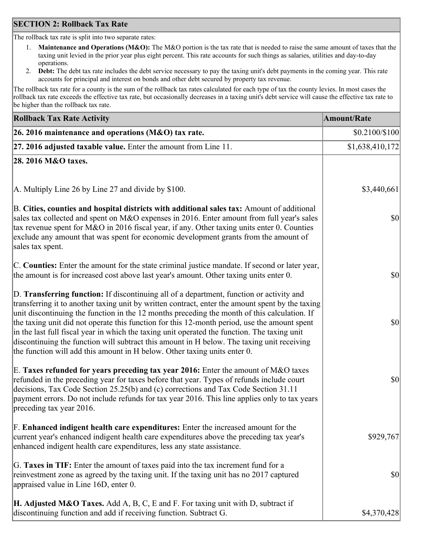## **SECTION 2: Rollback Tax Rate**

The rollback tax rate is split into two separate rates:

- 1. **Maintenance and Operations (M&O):** The M&O portion is the tax rate that is needed to raise the same amount of taxes that the taxing unit levied in the prior year plus eight percent. This rate accounts for such things as salaries, utilities and day-to-day operations.
- 2. **Debt:** The debt tax rate includes the debt service necessary to pay the taxing unit's debt payments in the coming year. This rate accounts for principal and interest on bonds and other debt secured by property tax revenue.

The rollback tax rate for a county is the sum of the rollback tax rates calculated for each type of tax the county levies. In most cases the rollback tax rate exceeds the effective tax rate, but occasionally decreases in a taxing unit's debt service will cause the effective tax rate to be higher than the rollback tax rate.

| <b>Rollback Tax Rate Activity</b>                                                                                                                                                                                                                                                                                                                                                                                                                                                                                                                                                                                                                                       | <b>Amount/Rate</b> |
|-------------------------------------------------------------------------------------------------------------------------------------------------------------------------------------------------------------------------------------------------------------------------------------------------------------------------------------------------------------------------------------------------------------------------------------------------------------------------------------------------------------------------------------------------------------------------------------------------------------------------------------------------------------------------|--------------------|
| 26. 2016 maintenance and operations (M&O) tax rate.                                                                                                                                                                                                                                                                                                                                                                                                                                                                                                                                                                                                                     | \$0.2100/\$100     |
| $ 27.2016$ adjusted taxable value. Enter the amount from Line 11.                                                                                                                                                                                                                                                                                                                                                                                                                                                                                                                                                                                                       | \$1,638,410,172    |
| 28. 2016 M&O taxes.                                                                                                                                                                                                                                                                                                                                                                                                                                                                                                                                                                                                                                                     |                    |
| A. Multiply Line 26 by Line 27 and divide by \$100.                                                                                                                                                                                                                                                                                                                                                                                                                                                                                                                                                                                                                     | \$3,440,661        |
| B. Cities, counties and hospital districts with additional sales tax: Amount of additional<br>sales tax collected and spent on M&O expenses in 2016. Enter amount from full year's sales<br>tax revenue spent for M&O in 2016 fiscal year, if any. Other taxing units enter 0. Counties<br>exclude any amount that was spent for economic development grants from the amount of<br>sales tax spent.                                                                                                                                                                                                                                                                     | 30                 |
| C. Counties: Enter the amount for the state criminal justice mandate. If second or later year,<br>the amount is for increased cost above last year's amount. Other taxing units enter 0.                                                                                                                                                                                                                                                                                                                                                                                                                                                                                | 30                 |
| D. Transferring function: If discontinuing all of a department, function or activity and<br>transferring it to another taxing unit by written contract, enter the amount spent by the taxing<br>unit discontinuing the function in the 12 months preceding the month of this calculation. If<br>the taxing unit did not operate this function for this 12-month period, use the amount spent<br>in the last full fiscal year in which the taxing unit operated the function. The taxing unit<br>discontinuing the function will subtract this amount in H below. The taxing unit receiving<br>the function will add this amount in H below. Other taxing units enter 0. | \$0                |
| E. Taxes refunded for years preceding tax year 2016: Enter the amount of M&O taxes<br>refunded in the preceding year for taxes before that year. Types of refunds include court<br>decisions, Tax Code Section 25.25(b) and (c) corrections and Tax Code Section 31.11<br>payment errors. Do not include refunds for tax year 2016. This line applies only to tax years<br>preceding tax year 2016.                                                                                                                                                                                                                                                                     | \$0                |
| F. Enhanced indigent health care expenditures: Enter the increased amount for the<br>current year's enhanced indigent health care expenditures above the preceding tax year's<br>enhanced indigent health care expenditures, less any state assistance.                                                                                                                                                                                                                                                                                                                                                                                                                 | \$929,767          |
| G. Taxes in TIF: Enter the amount of taxes paid into the tax increment fund for a<br>reinvestment zone as agreed by the taxing unit. If the taxing unit has no 2017 captured<br>appraised value in Line 16D, enter 0.                                                                                                                                                                                                                                                                                                                                                                                                                                                   | \$0                |
| <b>H. Adjusted M&amp;O Taxes.</b> Add A, B, C, E and F. For taxing unit with D, subtract if<br>discontinuing function and add if receiving function. Subtract G.                                                                                                                                                                                                                                                                                                                                                                                                                                                                                                        | \$4,370,428        |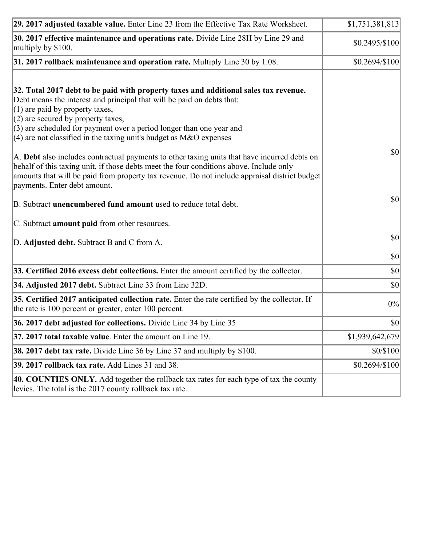| 29. 2017 adjusted taxable value. Enter Line 23 from the Effective Tax Rate Worksheet.                                                                                                                                                                                                                                                                                                         | \$1,751,381,813 |
|-----------------------------------------------------------------------------------------------------------------------------------------------------------------------------------------------------------------------------------------------------------------------------------------------------------------------------------------------------------------------------------------------|-----------------|
| 30. 2017 effective maintenance and operations rate. Divide Line 28H by Line 29 and<br>multiply by \$100.                                                                                                                                                                                                                                                                                      | $$0.2495/\$100$ |
| $31.2017$ rollback maintenance and operation rate. Multiply Line 30 by 1.08.                                                                                                                                                                                                                                                                                                                  | $$0.2694/\$100$ |
| 32. Total 2017 debt to be paid with property taxes and additional sales tax revenue.<br>Debt means the interest and principal that will be paid on debts that:<br>$(1)$ are paid by property taxes,<br>$(2)$ are secured by property taxes,<br>$(3)$ are scheduled for payment over a period longer than one year and<br>(4) are not classified in the taxing unit's budget as $M&O$ expenses |                 |
| A. Debt also includes contractual payments to other taxing units that have incurred debts on<br>behalf of this taxing unit, if those debts meet the four conditions above. Include only<br>amounts that will be paid from property tax revenue. Do not include appraisal district budget<br>payments. Enter debt amount.                                                                      | 30              |
| B. Subtract unencumbered fund amount used to reduce total debt.                                                                                                                                                                                                                                                                                                                               | \$0             |
| C. Subtract amount paid from other resources.                                                                                                                                                                                                                                                                                                                                                 |                 |
| D. Adjusted debt. Subtract B and C from A.                                                                                                                                                                                                                                                                                                                                                    | $ 10\rangle$    |
|                                                                                                                                                                                                                                                                                                                                                                                               | $ 10\rangle$    |
| 33. Certified 2016 excess debt collections. Enter the amount certified by the collector.                                                                                                                                                                                                                                                                                                      | $ 10\rangle$    |
| 34. Adjusted 2017 debt. Subtract Line 33 from Line 32D.                                                                                                                                                                                                                                                                                                                                       | $ 10\rangle$    |
| 35. Certified 2017 anticipated collection rate. Enter the rate certified by the collector. If<br>the rate is 100 percent or greater, enter 100 percent.                                                                                                                                                                                                                                       | 0%              |
| 36. 2017 debt adjusted for collections. Divide Line 34 by Line 35                                                                                                                                                                                                                                                                                                                             | \$0             |
| 37. 2017 total taxable value. Enter the amount on Line 19.                                                                                                                                                                                                                                                                                                                                    | \$1,939,642,679 |
| <b>38. 2017 debt tax rate.</b> Divide Line 36 by Line 37 and multiply by \$100.                                                                                                                                                                                                                                                                                                               | \$0/\$100       |
| 39. 2017 rollback tax rate. Add Lines 31 and 38.                                                                                                                                                                                                                                                                                                                                              | \$0.2694/\$100  |
| 40. COUNTIES ONLY. Add together the rollback tax rates for each type of tax the county<br>levies. The total is the 2017 county rollback tax rate.                                                                                                                                                                                                                                             |                 |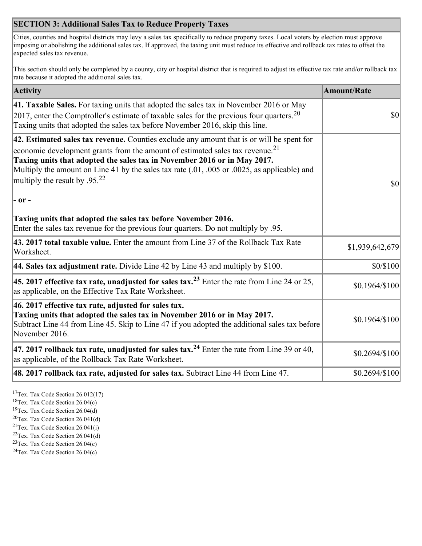## **SECTION 3: Additional Sales Tax to Reduce Property Taxes**

Cities, counties and hospital districts may levy a sales tax specifically to reduce property taxes. Local voters by election must approve imposing or abolishing the additional sales tax. If approved, the taxing unit must reduce its effective and rollback tax rates to offset the expected sales tax revenue.

This section should only be completed by a county, city or hospital district that is required to adjust its effective tax rate and/or rollback tax rate because it adopted the additional sales tax.

| <b>Activity</b>                                                                                                                                                                                                                                                                                                                                                                                                 | <b>Amount/Rate</b> |
|-----------------------------------------------------------------------------------------------------------------------------------------------------------------------------------------------------------------------------------------------------------------------------------------------------------------------------------------------------------------------------------------------------------------|--------------------|
| 41. Taxable Sales. For taxing units that adopted the sales tax in November 2016 or May<br>[2017, enter the Comptroller's estimate of taxable sales for the previous four quarters. <sup>20</sup><br>Taxing units that adopted the sales tax before November 2016, skip this line.                                                                                                                               | $\vert$ so $\vert$ |
| 42. Estimated sales tax revenue. Counties exclude any amount that is or will be spent for<br>economic development grants from the amount of estimated sales tax revenue. <sup>21</sup><br>Taxing units that adopted the sales tax in November 2016 or in May 2017.<br>Multiply the amount on Line 41 by the sales tax rate (.01, .005 or .0025, as applicable) and<br>multiply the result by .95. <sup>22</sup> | \$0                |
| $ -$ or $-$                                                                                                                                                                                                                                                                                                                                                                                                     |                    |
| Taxing units that adopted the sales tax before November 2016.<br>Enter the sales tax revenue for the previous four quarters. Do not multiply by .95.                                                                                                                                                                                                                                                            |                    |
| 43. 2017 total taxable value. Enter the amount from Line 37 of the Rollback Tax Rate<br>Worksheet.                                                                                                                                                                                                                                                                                                              | \$1,939,642,679    |
| 44. Sales tax adjustment rate. Divide Line 42 by Line 43 and multiply by $$100$ .                                                                                                                                                                                                                                                                                                                               | \$0/\$100          |
| 45. 2017 effective tax rate, unadjusted for sales tax. <sup>23</sup> Enter the rate from Line 24 or 25,<br>as applicable, on the Effective Tax Rate Worksheet.                                                                                                                                                                                                                                                  | $$0.1964/\$100$    |
| 46. 2017 effective tax rate, adjusted for sales tax.<br>Taxing units that adopted the sales tax in November 2016 or in May 2017.<br>Subtract Line 44 from Line 45. Skip to Line 47 if you adopted the additional sales tax before<br>November 2016.                                                                                                                                                             | \$0.1964/\$100     |
| 47. 2017 rollback tax rate, unadjusted for sales tax. <sup>24</sup> Enter the rate from Line 39 or 40,<br>as applicable, of the Rollback Tax Rate Worksheet.                                                                                                                                                                                                                                                    | $$0.2694/\$100$    |
| $ 48.2017$ rollback tax rate, adjusted for sales tax. Subtract Line 44 from Line 47.                                                                                                                                                                                                                                                                                                                            | \$0.2694/\$100     |

<sup>17</sup>Tex. Tax Code Section 26.012(17)

<sup>18</sup>Tex. Tax Code Section 26.04(c)

<sup>19</sup>Tex. Tax Code Section 26.04(d)

<sup>20</sup>Tex. Tax Code Section 26.041(d)

- $21$ Tex. Tax Code Section 26.041(i)
- <sup>22</sup>Tex. Tax Code Section 26.041(d)
- <sup>23</sup>Tex. Tax Code Section  $26.04(c)$

<sup>24</sup>Tex. Tax Code Section  $26.04(c)$